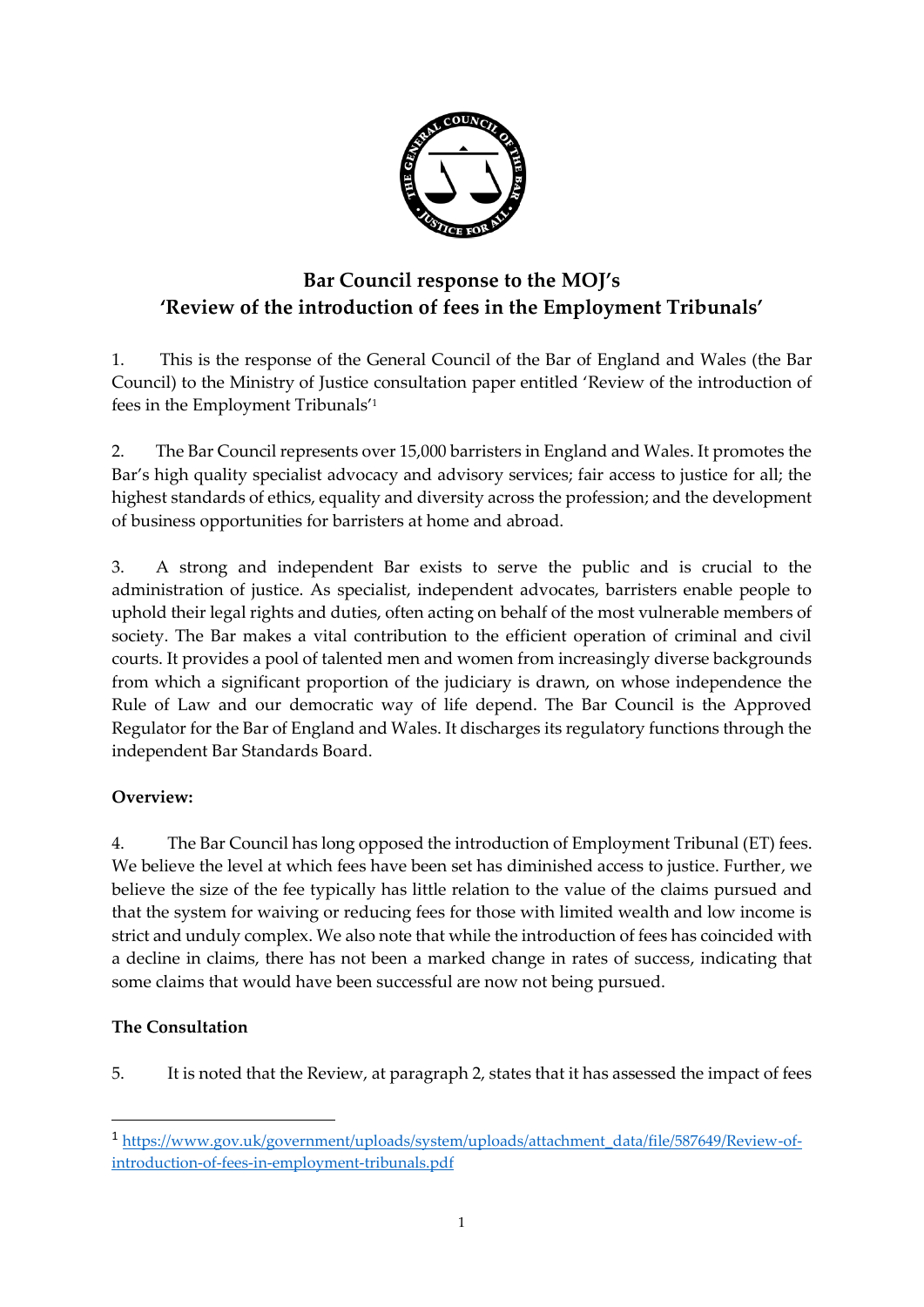

# **Bar Council response to the MOJ's 'Review of the introduction of fees in the Employment Tribunals'**

1. This is the response of the General Council of the Bar of England and Wales (the Bar Council) to the Ministry of Justice consultation paper entitled 'Review of the introduction of fees in the Employment Tribunals' 1

2. The Bar Council represents over 15,000 barristers in England and Wales. It promotes the Bar's high quality specialist advocacy and advisory services; fair access to justice for all; the highest standards of ethics, equality and diversity across the profession; and the development of business opportunities for barristers at home and abroad.

3. A strong and independent Bar exists to serve the public and is crucial to the administration of justice. As specialist, independent advocates, barristers enable people to uphold their legal rights and duties, often acting on behalf of the most vulnerable members of society. The Bar makes a vital contribution to the efficient operation of criminal and civil courts. It provides a pool of talented men and women from increasingly diverse backgrounds from which a significant proportion of the judiciary is drawn, on whose independence the Rule of Law and our democratic way of life depend. The Bar Council is the Approved Regulator for the Bar of England and Wales. It discharges its regulatory functions through the independent Bar Standards Board.

## **Overview:**

4. The Bar Council has long opposed the introduction of Employment Tribunal (ET) fees. We believe the level at which fees have been set has diminished access to justice. Further, we believe the size of the fee typically has little relation to the value of the claims pursued and that the system for waiving or reducing fees for those with limited wealth and low income is strict and unduly complex. We also note that while the introduction of fees has coincided with a decline in claims, there has not been a marked change in rates of success, indicating that some claims that would have been successful are now not being pursued.

### **The Consultation**

**.** 

5. It is noted that the Review, at paragraph 2, states that it has assessed the impact of fees

<sup>1</sup> [https://www.gov.uk/government/uploads/system/uploads/attachment\\_data/file/587649/Review-of](https://www.gov.uk/government/uploads/system/uploads/attachment_data/file/587649/Review-of-introduction-of-fees-in-employment-tribunals.pdf)[introduction-of-fees-in-employment-tribunals.pdf](https://www.gov.uk/government/uploads/system/uploads/attachment_data/file/587649/Review-of-introduction-of-fees-in-employment-tribunals.pdf)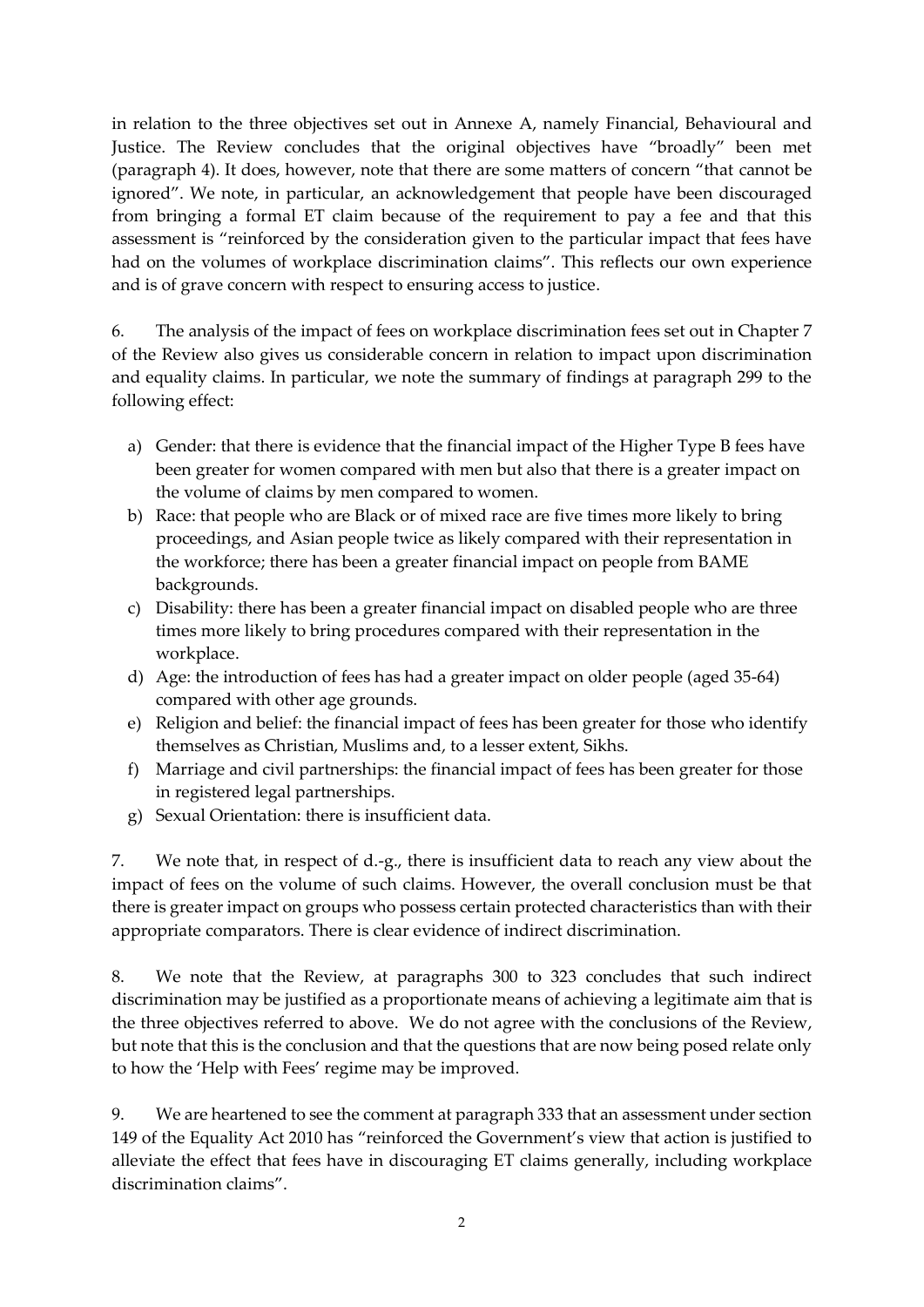in relation to the three objectives set out in Annexe A, namely Financial, Behavioural and Justice. The Review concludes that the original objectives have "broadly" been met (paragraph 4). It does, however, note that there are some matters of concern "that cannot be ignored". We note, in particular, an acknowledgement that people have been discouraged from bringing a formal ET claim because of the requirement to pay a fee and that this assessment is "reinforced by the consideration given to the particular impact that fees have had on the volumes of workplace discrimination claims". This reflects our own experience and is of grave concern with respect to ensuring access to justice.

6. The analysis of the impact of fees on workplace discrimination fees set out in Chapter 7 of the Review also gives us considerable concern in relation to impact upon discrimination and equality claims. In particular, we note the summary of findings at paragraph 299 to the following effect:

- a) Gender: that there is evidence that the financial impact of the Higher Type B fees have been greater for women compared with men but also that there is a greater impact on the volume of claims by men compared to women.
- b) Race: that people who are Black or of mixed race are five times more likely to bring proceedings, and Asian people twice as likely compared with their representation in the workforce; there has been a greater financial impact on people from BAME backgrounds.
- c) Disability: there has been a greater financial impact on disabled people who are three times more likely to bring procedures compared with their representation in the workplace.
- d) Age: the introduction of fees has had a greater impact on older people (aged 35-64) compared with other age grounds.
- e) Religion and belief: the financial impact of fees has been greater for those who identify themselves as Christian, Muslims and, to a lesser extent, Sikhs.
- f) Marriage and civil partnerships: the financial impact of fees has been greater for those in registered legal partnerships.
- g) Sexual Orientation: there is insufficient data.

7. We note that, in respect of d.-g., there is insufficient data to reach any view about the impact of fees on the volume of such claims. However, the overall conclusion must be that there is greater impact on groups who possess certain protected characteristics than with their appropriate comparators. There is clear evidence of indirect discrimination.

8. We note that the Review, at paragraphs 300 to 323 concludes that such indirect discrimination may be justified as a proportionate means of achieving a legitimate aim that is the three objectives referred to above. We do not agree with the conclusions of the Review, but note that this is the conclusion and that the questions that are now being posed relate only to how the 'Help with Fees' regime may be improved.

9. We are heartened to see the comment at paragraph 333 that an assessment under section 149 of the Equality Act 2010 has "reinforced the Government's view that action is justified to alleviate the effect that fees have in discouraging ET claims generally, including workplace discrimination claims".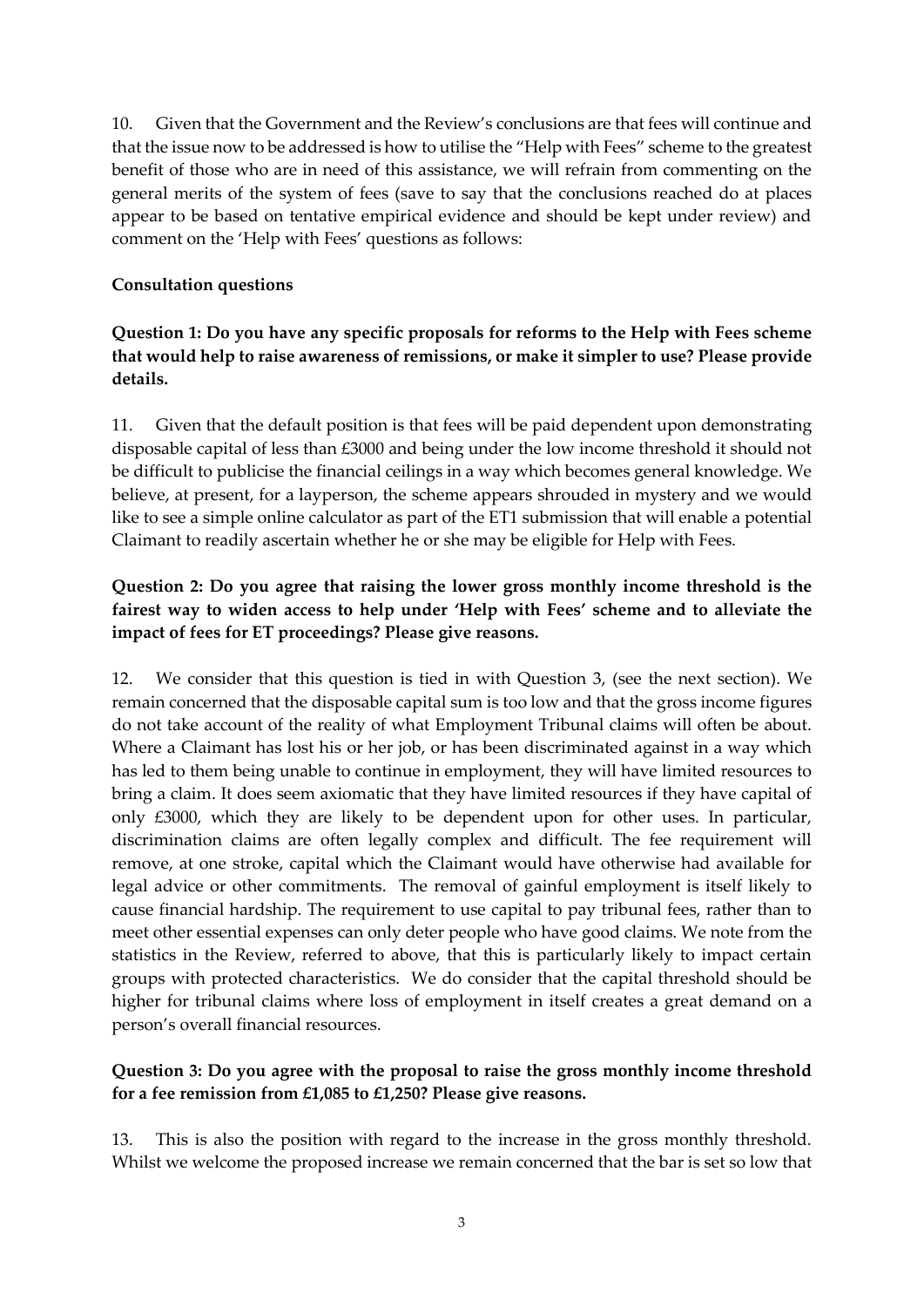10. Given that the Government and the Review's conclusions are that fees will continue and that the issue now to be addressed is how to utilise the "Help with Fees" scheme to the greatest benefit of those who are in need of this assistance, we will refrain from commenting on the general merits of the system of fees (save to say that the conclusions reached do at places appear to be based on tentative empirical evidence and should be kept under review) and comment on the 'Help with Fees' questions as follows:

#### **Consultation questions**

## **Question 1: Do you have any specific proposals for reforms to the Help with Fees scheme that would help to raise awareness of remissions, or make it simpler to use? Please provide details.**

11. Given that the default position is that fees will be paid dependent upon demonstrating disposable capital of less than £3000 and being under the low income threshold it should not be difficult to publicise the financial ceilings in a way which becomes general knowledge. We believe, at present, for a layperson, the scheme appears shrouded in mystery and we would like to see a simple online calculator as part of the ET1 submission that will enable a potential Claimant to readily ascertain whether he or she may be eligible for Help with Fees.

## **Question 2: Do you agree that raising the lower gross monthly income threshold is the fairest way to widen access to help under 'Help with Fees' scheme and to alleviate the impact of fees for ET proceedings? Please give reasons.**

12. We consider that this question is tied in with Question 3, (see the next section). We remain concerned that the disposable capital sum is too low and that the gross income figures do not take account of the reality of what Employment Tribunal claims will often be about. Where a Claimant has lost his or her job, or has been discriminated against in a way which has led to them being unable to continue in employment, they will have limited resources to bring a claim. It does seem axiomatic that they have limited resources if they have capital of only £3000, which they are likely to be dependent upon for other uses. In particular, discrimination claims are often legally complex and difficult. The fee requirement will remove, at one stroke, capital which the Claimant would have otherwise had available for legal advice or other commitments. The removal of gainful employment is itself likely to cause financial hardship. The requirement to use capital to pay tribunal fees, rather than to meet other essential expenses can only deter people who have good claims. We note from the statistics in the Review, referred to above, that this is particularly likely to impact certain groups with protected characteristics. We do consider that the capital threshold should be higher for tribunal claims where loss of employment in itself creates a great demand on a person's overall financial resources.

## **Question 3: Do you agree with the proposal to raise the gross monthly income threshold for a fee remission from £1,085 to £1,250? Please give reasons.**

13. This is also the position with regard to the increase in the gross monthly threshold. Whilst we welcome the proposed increase we remain concerned that the bar is set so low that